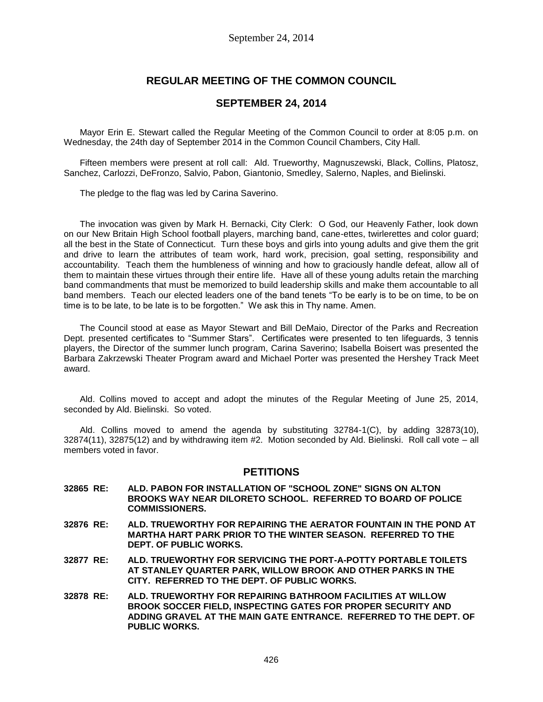# **REGULAR MEETING OF THE COMMON COUNCIL**

### **SEPTEMBER 24, 2014**

Mayor Erin E. Stewart called the Regular Meeting of the Common Council to order at 8:05 p.m. on Wednesday, the 24th day of September 2014 in the Common Council Chambers, City Hall.

Fifteen members were present at roll call: Ald. Trueworthy, Magnuszewski, Black, Collins, Platosz, Sanchez, Carlozzi, DeFronzo, Salvio, Pabon, Giantonio, Smedley, Salerno, Naples, and Bielinski.

The pledge to the flag was led by Carina Saverino.

The invocation was given by Mark H. Bernacki, City Clerk: O God, our Heavenly Father, look down on our New Britain High School football players, marching band, cane-ettes, twirlerettes and color guard; all the best in the State of Connecticut. Turn these boys and girls into young adults and give them the grit and drive to learn the attributes of team work, hard work, precision, goal setting, responsibility and accountability. Teach them the humbleness of winning and how to graciously handle defeat, allow all of them to maintain these virtues through their entire life. Have all of these young adults retain the marching band commandments that must be memorized to build leadership skills and make them accountable to all band members. Teach our elected leaders one of the band tenets "To be early is to be on time, to be on time is to be late, to be late is to be forgotten." We ask this in Thy name. Amen.

The Council stood at ease as Mayor Stewart and Bill DeMaio, Director of the Parks and Recreation Dept. presented certificates to "Summer Stars". Certificates were presented to ten lifeguards, 3 tennis players, the Director of the summer lunch program, Carina Saverino; Isabella Boisert was presented the Barbara Zakrzewski Theater Program award and Michael Porter was presented the Hershey Track Meet award.

Ald. Collins moved to accept and adopt the minutes of the Regular Meeting of June 25, 2014, seconded by Ald. Bielinski. So voted.

Ald. Collins moved to amend the agenda by substituting 32784-1(C), by adding 32873(10), 32874(11), 32875(12) and by withdrawing item #2. Motion seconded by Ald. Bielinski. Roll call vote – all members voted in favor.

### **PETITIONS**

- **32865 RE: ALD. PABON FOR INSTALLATION OF "SCHOOL ZONE" SIGNS ON ALTON BROOKS WAY NEAR DILORETO SCHOOL. REFERRED TO BOARD OF POLICE COMMISSIONERS.**
- **32876 RE: ALD. TRUEWORTHY FOR REPAIRING THE AERATOR FOUNTAIN IN THE POND AT MARTHA HART PARK PRIOR TO THE WINTER SEASON. REFERRED TO THE DEPT. OF PUBLIC WORKS.**
- **32877 RE: ALD. TRUEWORTHY FOR SERVICING THE PORT-A-POTTY PORTABLE TOILETS AT STANLEY QUARTER PARK, WILLOW BROOK AND OTHER PARKS IN THE CITY. REFERRED TO THE DEPT. OF PUBLIC WORKS.**
- **32878 RE: ALD. TRUEWORTHY FOR REPAIRING BATHROOM FACILITIES AT WILLOW BROOK SOCCER FIELD, INSPECTING GATES FOR PROPER SECURITY AND ADDING GRAVEL AT THE MAIN GATE ENTRANCE. REFERRED TO THE DEPT. OF PUBLIC WORKS.**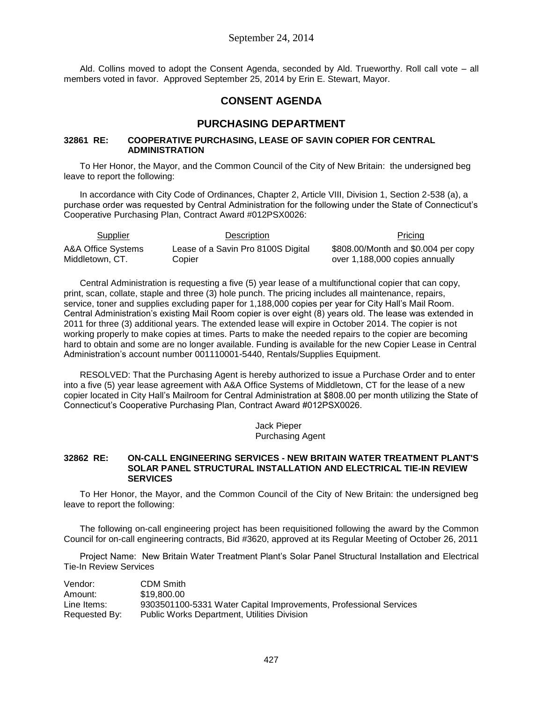Ald. Collins moved to adopt the Consent Agenda, seconded by Ald. Trueworthy. Roll call vote – all members voted in favor. Approved September 25, 2014 by Erin E. Stewart, Mayor.

# **CONSENT AGENDA**

## **PURCHASING DEPARTMENT**

### **32861 RE: COOPERATIVE PURCHASING, LEASE OF SAVIN COPIER FOR CENTRAL ADMINISTRATION**

To Her Honor, the Mayor, and the Common Council of the City of New Britain: the undersigned beg leave to report the following:

In accordance with City Code of Ordinances, Chapter 2, Article VIII, Division 1, Section 2-538 (a), a purchase order was requested by Central Administration for the following under the State of Connecticut's Cooperative Purchasing Plan, Contract Award #012PSX0026:

| <b>Supplier</b>    | Description                        | Pricing                             |
|--------------------|------------------------------------|-------------------------------------|
| A&A Office Systems | Lease of a Savin Pro 8100S Digital | \$808.00/Month and \$0.004 per copy |
| Middletown, CT.    | Copier                             | over 1,188,000 copies annually      |

Central Administration is requesting a five (5) year lease of a multifunctional copier that can copy, print, scan, collate, staple and three (3) hole punch. The pricing includes all maintenance, repairs, service, toner and supplies excluding paper for 1,188,000 copies per year for City Hall's Mail Room. Central Administration's existing Mail Room copier is over eight (8) years old. The lease was extended in 2011 for three (3) additional years. The extended lease will expire in October 2014. The copier is not working properly to make copies at times. Parts to make the needed repairs to the copier are becoming hard to obtain and some are no longer available. Funding is available for the new Copier Lease in Central Administration's account number 001110001-5440, Rentals/Supplies Equipment.

RESOLVED: That the Purchasing Agent is hereby authorized to issue a Purchase Order and to enter into a five (5) year lease agreement with A&A Office Systems of Middletown, CT for the lease of a new copier located in City Hall's Mailroom for Central Administration at \$808.00 per month utilizing the State of Connecticut's Cooperative Purchasing Plan, Contract Award #012PSX0026.

> Jack Pieper Purchasing Agent

#### **32862 RE: ON-CALL ENGINEERING SERVICES - NEW BRITAIN WATER TREATMENT PLANT'S SOLAR PANEL STRUCTURAL INSTALLATION AND ELECTRICAL TIE-IN REVIEW SERVICES**

To Her Honor, the Mayor, and the Common Council of the City of New Britain: the undersigned beg leave to report the following:

The following on-call engineering project has been requisitioned following the award by the Common Council for on-call engineering contracts, Bid #3620, approved at its Regular Meeting of October 26, 2011

Project Name: New Britain Water Treatment Plant's Solar Panel Structural Installation and Electrical Tie-In Review Services

| Vendor:       | <b>CDM Smith</b>                                                  |
|---------------|-------------------------------------------------------------------|
| Amount:       | \$19,800,00                                                       |
| Line Items:   | 9303501100-5331 Water Capital Improvements, Professional Services |
| Requested By: | <b>Public Works Department, Utilities Division</b>                |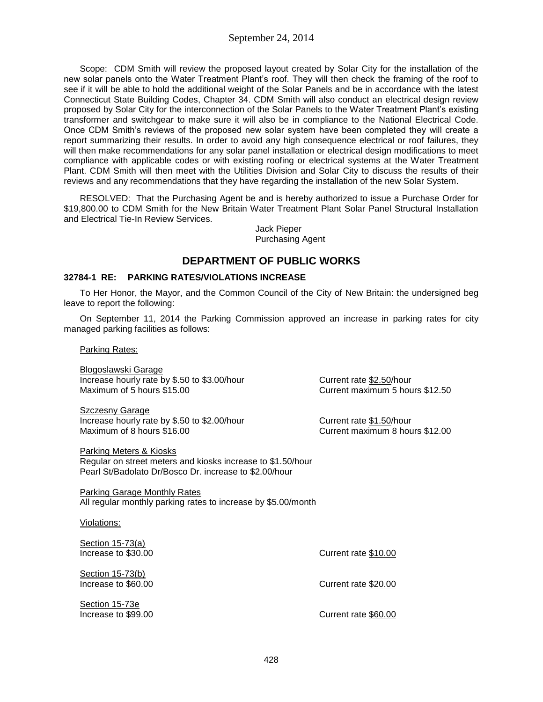Scope: CDM Smith will review the proposed layout created by Solar City for the installation of the new solar panels onto the Water Treatment Plant's roof. They will then check the framing of the roof to see if it will be able to hold the additional weight of the Solar Panels and be in accordance with the latest Connecticut State Building Codes, Chapter 34. CDM Smith will also conduct an electrical design review proposed by Solar City for the interconnection of the Solar Panels to the Water Treatment Plant's existing transformer and switchgear to make sure it will also be in compliance to the National Electrical Code. Once CDM Smith's reviews of the proposed new solar system have been completed they will create a report summarizing their results. In order to avoid any high consequence electrical or roof failures, they will then make recommendations for any solar panel installation or electrical design modifications to meet compliance with applicable codes or with existing roofing or electrical systems at the Water Treatment Plant. CDM Smith will then meet with the Utilities Division and Solar City to discuss the results of their reviews and any recommendations that they have regarding the installation of the new Solar System.

RESOLVED: That the Purchasing Agent be and is hereby authorized to issue a Purchase Order for \$19,800.00 to CDM Smith for the New Britain Water Treatment Plant Solar Panel Structural Installation and Electrical Tie-In Review Services.

> Jack Pieper Purchasing Agent

# **DEPARTMENT OF PUBLIC WORKS**

### **32784-1 RE: PARKING RATES/VIOLATIONS INCREASE**

To Her Honor, the Mayor, and the Common Council of the City of New Britain: the undersigned beg leave to report the following:

On September 11, 2014 the Parking Commission approved an increase in parking rates for city managed parking facilities as follows:

Parking Rates:

Blogoslawski Garage Increase hourly rate by \$.50 to \$3.00/hour Current rate \$2.50/hour<br>Maximum of 5 hours \$15.00 Current maximum 5 houre

Szczesny Garage Increase hourly rate by \$.50 to \$2.00/hour Current rate \$1.50/hour<br>Maximum of 8 hours \$16.00

Parking Meters & Kiosks Regular on street meters and kiosks increase to \$1.50/hour Pearl St/Badolato Dr/Bosco Dr. increase to \$2.00/hour

Parking Garage Monthly Rates All regular monthly parking rates to increase by \$5.00/month

Violations:

Section 15-73(a) Increase to \$30.00 Current rate \$10.00

Section 15-73(b)

Section 15-73e

Current maximum 5 hours  $$12.50$ 

Current maximum 8 hours \$12.00

Increase to \$60.00 Current rate \$20.00

Increase to \$99.00 Current rate \$60.00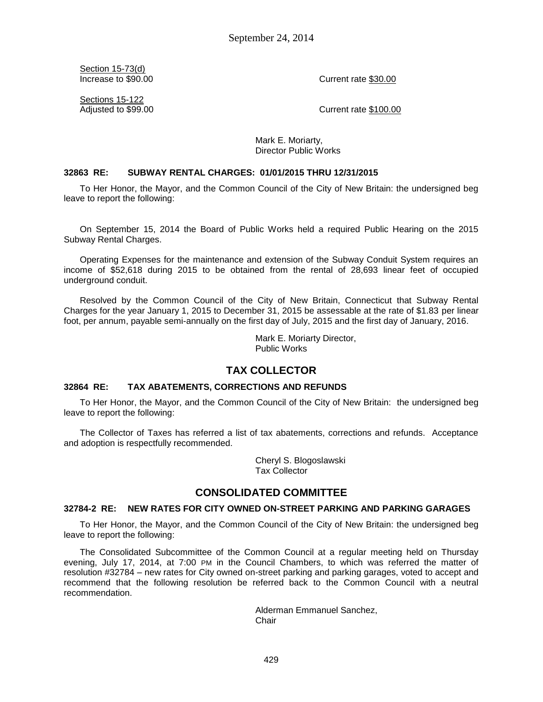Section 15-73(d)

Increase to \$90.00 Current rate \$30.00

Sections 15-122

Adjusted to \$99.00 Current rate \$100.00

Mark E. Moriarty, Director Public Works

#### **32863 RE: SUBWAY RENTAL CHARGES: 01/01/2015 THRU 12/31/2015**

To Her Honor, the Mayor, and the Common Council of the City of New Britain: the undersigned beg leave to report the following:

On September 15, 2014 the Board of Public Works held a required Public Hearing on the 2015 Subway Rental Charges.

Operating Expenses for the maintenance and extension of the Subway Conduit System requires an income of \$52,618 during 2015 to be obtained from the rental of 28,693 linear feet of occupied underground conduit.

Resolved by the Common Council of the City of New Britain, Connecticut that Subway Rental Charges for the year January 1, 2015 to December 31, 2015 be assessable at the rate of \$1.83 per linear foot, per annum, payable semi-annually on the first day of July, 2015 and the first day of January, 2016.

> Mark E. Moriarty Director, Public Works

## **TAX COLLECTOR**

#### **32864 RE: TAX ABATEMENTS, CORRECTIONS AND REFUNDS**

To Her Honor, the Mayor, and the Common Council of the City of New Britain: the undersigned beg leave to report the following:

The Collector of Taxes has referred a list of tax abatements, corrections and refunds. Acceptance and adoption is respectfully recommended.

> Cheryl S. Blogoslawski Tax Collector

## **CONSOLIDATED COMMITTEE**

### **32784-2 RE: NEW RATES FOR CITY OWNED ON-STREET PARKING AND PARKING GARAGES**

To Her Honor, the Mayor, and the Common Council of the City of New Britain: the undersigned beg leave to report the following:

The Consolidated Subcommittee of the Common Council at a regular meeting held on Thursday evening, July 17, 2014, at 7:00 PM in the Council Chambers, to which was referred the matter of resolution #32784 – new rates for City owned on-street parking and parking garages, voted to accept and recommend that the following resolution be referred back to the Common Council with a neutral recommendation.

> Alderman Emmanuel Sanchez, **Chair**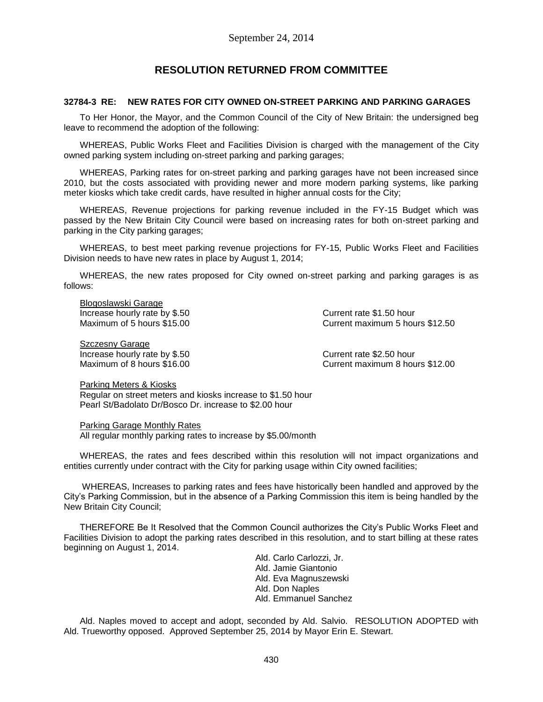# **RESOLUTION RETURNED FROM COMMITTEE**

### **32784-3 RE: NEW RATES FOR CITY OWNED ON-STREET PARKING AND PARKING GARAGES**

To Her Honor, the Mayor, and the Common Council of the City of New Britain: the undersigned beg leave to recommend the adoption of the following:

WHEREAS, Public Works Fleet and Facilities Division is charged with the management of the City owned parking system including on-street parking and parking garages;

WHEREAS, Parking rates for on-street parking and parking garages have not been increased since 2010, but the costs associated with providing newer and more modern parking systems, like parking meter kiosks which take credit cards, have resulted in higher annual costs for the City;

WHEREAS, Revenue projections for parking revenue included in the FY-15 Budget which was passed by the New Britain City Council were based on increasing rates for both on-street parking and parking in the City parking garages;

WHEREAS, to best meet parking revenue projections for FY-15, Public Works Fleet and Facilities Division needs to have new rates in place by August 1, 2014;

WHEREAS, the new rates proposed for City owned on-street parking and parking garages is as follows:

Blogoslawski Garage Increase hourly rate by \$.50 Current rate \$1.50 hour

Maximum of 5 hours \$15.00 Current maximum 5 hours \$12.50

Szczesny Garage Increase hourly rate by \$.50 Current rate \$2.50 hour

Maximum of 8 hours \$16.00 Current maximum 8 hours \$12.00

Parking Meters & Kiosks

Regular on street meters and kiosks increase to \$1.50 hour Pearl St/Badolato Dr/Bosco Dr. increase to \$2.00 hour

Parking Garage Monthly Rates All regular monthly parking rates to increase by \$5.00/month

WHEREAS, the rates and fees described within this resolution will not impact organizations and entities currently under contract with the City for parking usage within City owned facilities;

WHEREAS, Increases to parking rates and fees have historically been handled and approved by the City's Parking Commission, but in the absence of a Parking Commission this item is being handled by the New Britain City Council;

THEREFORE Be It Resolved that the Common Council authorizes the City's Public Works Fleet and Facilities Division to adopt the parking rates described in this resolution, and to start billing at these rates beginning on August 1, 2014.

> Ald. Carlo Carlozzi, Jr. Ald. Jamie Giantonio Ald. Eva Magnuszewski Ald. Don Naples Ald. Emmanuel Sanchez

Ald. Naples moved to accept and adopt, seconded by Ald. Salvio. RESOLUTION ADOPTED with Ald. Trueworthy opposed. Approved September 25, 2014 by Mayor Erin E. Stewart.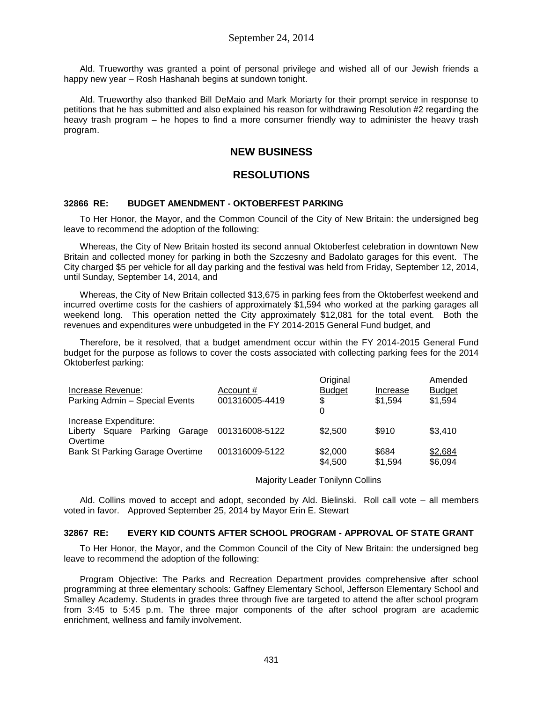Ald. Trueworthy was granted a point of personal privilege and wished all of our Jewish friends a happy new year – Rosh Hashanah begins at sundown tonight.

Ald. Trueworthy also thanked Bill DeMaio and Mark Moriarty for their prompt service in response to petitions that he has submitted and also explained his reason for withdrawing Resolution #2 regarding the heavy trash program – he hopes to find a more consumer friendly way to administer the heavy trash program.

# **NEW BUSINESS**

## **RESOLUTIONS**

### **32866 RE: BUDGET AMENDMENT - OKTOBERFEST PARKING**

To Her Honor, the Mayor, and the Common Council of the City of New Britain: the undersigned beg leave to recommend the adoption of the following:

Whereas, the City of New Britain hosted its second annual Oktoberfest celebration in downtown New Britain and collected money for parking in both the Szczesny and Badolato garages for this event. The City charged \$5 per vehicle for all day parking and the festival was held from Friday, September 12, 2014, until Sunday, September 14, 2014, and

Whereas, the City of New Britain collected \$13,675 in parking fees from the Oktoberfest weekend and incurred overtime costs for the cashiers of approximately \$1,594 who worked at the parking garages all weekend long. This operation netted the City approximately \$12,081 for the total event. Both the revenues and expenditures were unbudgeted in the FY 2014-2015 General Fund budget, and

Therefore, be it resolved, that a budget amendment occur within the FY 2014-2015 General Fund budget for the purpose as follows to cover the costs associated with collecting parking fees for the 2014 Oktoberfest parking:

|                                        |                | Original      |          | Amended       |
|----------------------------------------|----------------|---------------|----------|---------------|
| Increase Revenue:                      | Account #      | <b>Budget</b> | Increase | <b>Budget</b> |
| Parking Admin - Special Events         | 001316005-4419 | S.            | \$1.594  | \$1,594       |
|                                        |                | 0             |          |               |
| Increase Expenditure:                  |                |               |          |               |
| Garage<br>Liberty Square Parking       | 001316008-5122 | \$2,500       | \$910    | \$3,410       |
| Overtime                               |                |               |          |               |
| <b>Bank St Parking Garage Overtime</b> | 001316009-5122 | \$2,000       | \$684    | \$2,684       |
|                                        |                | \$4,500       | \$1.594  | \$6,094       |

Majority Leader Tonilynn Collins

Ald. Collins moved to accept and adopt, seconded by Ald. Bielinski. Roll call vote – all members voted in favor. Approved September 25, 2014 by Mayor Erin E. Stewart

### **32867 RE: EVERY KID COUNTS AFTER SCHOOL PROGRAM - APPROVAL OF STATE GRANT**

To Her Honor, the Mayor, and the Common Council of the City of New Britain: the undersigned beg leave to recommend the adoption of the following:

Program Objective: The Parks and Recreation Department provides comprehensive after school programming at three elementary schools: Gaffney Elementary School, Jefferson Elementary School and Smalley Academy. Students in grades three through five are targeted to attend the after school program from 3:45 to 5:45 p.m. The three major components of the after school program are academic enrichment, wellness and family involvement.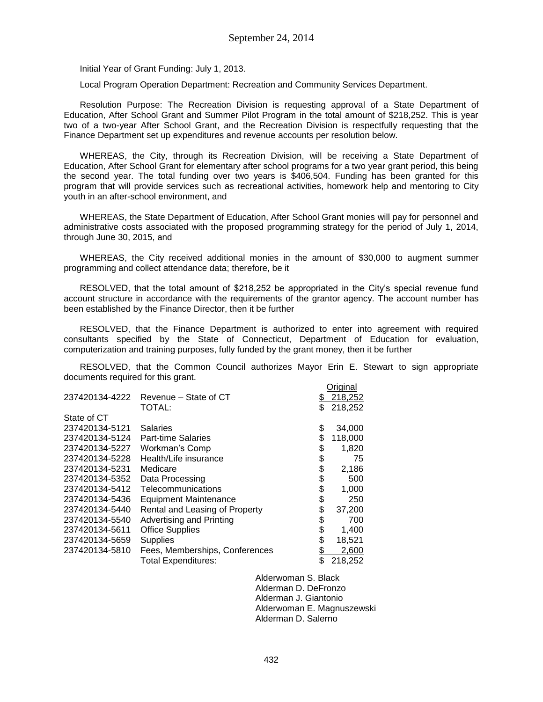Initial Year of Grant Funding: July 1, 2013.

Local Program Operation Department: Recreation and Community Services Department.

Resolution Purpose: The Recreation Division is requesting approval of a State Department of Education, After School Grant and Summer Pilot Program in the total amount of \$218,252. This is year two of a two-year After School Grant, and the Recreation Division is respectfully requesting that the Finance Department set up expenditures and revenue accounts per resolution below.

WHEREAS, the City, through its Recreation Division, will be receiving a State Department of Education, After School Grant for elementary after school programs for a two year grant period, this being the second year. The total funding over two years is \$406,504. Funding has been granted for this program that will provide services such as recreational activities, homework help and mentoring to City youth in an after-school environment, and

WHEREAS, the State Department of Education, After School Grant monies will pay for personnel and administrative costs associated with the proposed programming strategy for the period of July 1, 2014, through June 30, 2015, and

WHEREAS, the City received additional monies in the amount of \$30,000 to augment summer programming and collect attendance data; therefore, be it

RESOLVED, that the total amount of \$218,252 be appropriated in the City's special revenue fund account structure in accordance with the requirements of the grantor agency. The account number has been established by the Finance Director, then it be further

RESOLVED, that the Finance Department is authorized to enter into agreement with required consultants specified by the State of Connecticut, Department of Education for evaluation, computerization and training purposes, fully funded by the grant money, then it be further

RESOLVED, that the Common Council authorizes Mayor Erin E. Stewart to sign appropriate documents required for this grant.

|                |                                | Original      |
|----------------|--------------------------------|---------------|
| 237420134-4222 | Revenue – State of CT          | \$<br>218,252 |
|                | TOTAL:                         | \$<br>218,252 |
| State of CT    |                                |               |
| 237420134-5121 | Salaries                       | \$<br>34,000  |
| 237420134-5124 | <b>Part-time Salaries</b>      | \$<br>118,000 |
| 237420134-5227 | Workman's Comp                 | \$<br>1,820   |
| 237420134-5228 | Health/Life insurance          | \$<br>75      |
| 237420134-5231 | Medicare                       | \$<br>2,186   |
| 237420134-5352 | Data Processing                | \$<br>500     |
| 237420134-5412 | Telecommunications             | \$<br>1,000   |
| 237420134-5436 | <b>Equipment Maintenance</b>   | \$<br>250     |
| 237420134-5440 | Rental and Leasing of Property | \$<br>37,200  |
| 237420134-5540 | Advertising and Printing       | \$<br>700     |
| 237420134-5611 | <b>Office Supplies</b>         | \$<br>1,400   |
| 237420134-5659 | <b>Supplies</b>                | \$<br>18,521  |
| 237420134-5810 | Fees, Memberships, Conferences | \$<br>2,600   |
|                | <b>Total Expenditures:</b>     | \$<br>218,252 |

Alderwoman S. Black Alderman D. DeFronzo Alderman J. Giantonio Alderwoman E. Magnuszewski Alderman D. Salerno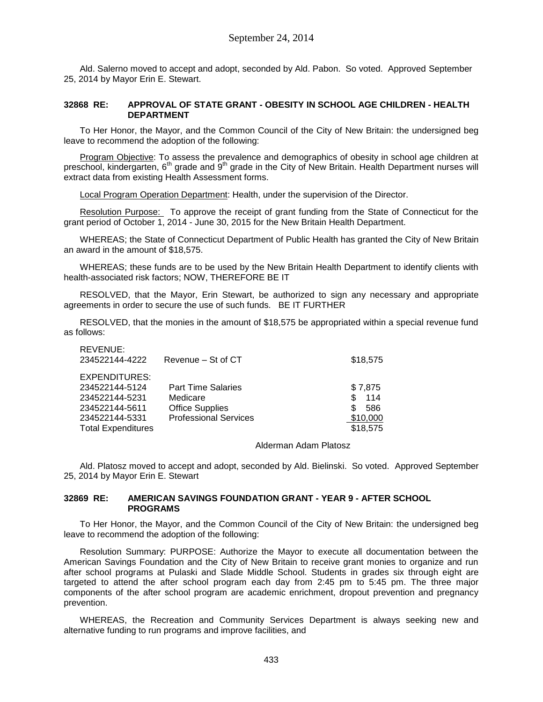Ald. Salerno moved to accept and adopt, seconded by Ald. Pabon. So voted. Approved September 25, 2014 by Mayor Erin E. Stewart.

### **32868 RE: APPROVAL OF STATE GRANT - OBESITY IN SCHOOL AGE CHILDREN - HEALTH DEPARTMENT**

To Her Honor, the Mayor, and the Common Council of the City of New Britain: the undersigned beg leave to recommend the adoption of the following:

Program Objective: To assess the prevalence and demographics of obesity in school age children at preschool, kindergarten, 6<sup>th</sup> grade and 9<sup>th</sup> grade in the City of New Britain. Health Department nurses will extract data from existing Health Assessment forms.

Local Program Operation Department: Health, under the supervision of the Director.

Resolution Purpose: To approve the receipt of grant funding from the State of Connecticut for the grant period of October 1, 2014 - June 30, 2015 for the New Britain Health Department.

WHEREAS; the State of Connecticut Department of Public Health has granted the City of New Britain an award in the amount of \$18,575.

WHEREAS; these funds are to be used by the New Britain Health Department to identify clients with health-associated risk factors; NOW, THEREFORE BE IT

RESOLVED, that the Mayor, Erin Stewart, be authorized to sign any necessary and appropriate agreements in order to secure the use of such funds. BE IT FURTHER

RESOLVED, that the monies in the amount of \$18,575 be appropriated within a special revenue fund as follows:

| REVENUE:<br>234522144-4222                                                                                         | Revenue - St of CT                                                                              | \$18,575                                                    |
|--------------------------------------------------------------------------------------------------------------------|-------------------------------------------------------------------------------------------------|-------------------------------------------------------------|
| EXPENDITURES:<br>234522144-5124<br>234522144-5231<br>234522144-5611<br>234522144-5331<br><b>Total Expenditures</b> | <b>Part Time Salaries</b><br>Medicare<br><b>Office Supplies</b><br><b>Professional Services</b> | \$7,875<br>114<br>\$.<br>586<br>\$.<br>\$10,000<br>\$18,575 |

#### Alderman Adam Platosz

Ald. Platosz moved to accept and adopt, seconded by Ald. Bielinski. So voted. Approved September 25, 2014 by Mayor Erin E. Stewart

### **32869 RE: AMERICAN SAVINGS FOUNDATION GRANT - YEAR 9 - AFTER SCHOOL PROGRAMS**

To Her Honor, the Mayor, and the Common Council of the City of New Britain: the undersigned beg leave to recommend the adoption of the following:

Resolution Summary: PURPOSE: Authorize the Mayor to execute all documentation between the American Savings Foundation and the City of New Britain to receive grant monies to organize and run after school programs at Pulaski and Slade Middle School. Students in grades six through eight are targeted to attend the after school program each day from 2:45 pm to 5:45 pm. The three major components of the after school program are academic enrichment, dropout prevention and pregnancy prevention.

WHEREAS, the Recreation and Community Services Department is always seeking new and alternative funding to run programs and improve facilities, and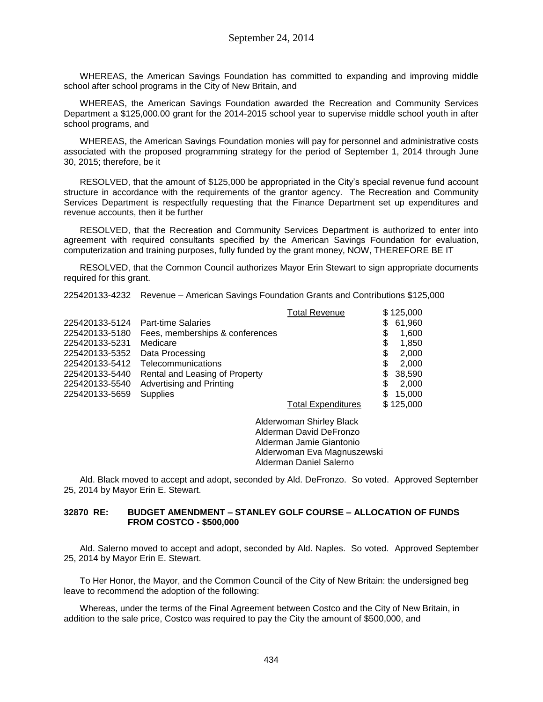WHEREAS, the American Savings Foundation has committed to expanding and improving middle school after school programs in the City of New Britain, and

WHEREAS, the American Savings Foundation awarded the Recreation and Community Services Department a \$125,000.00 grant for the 2014-2015 school year to supervise middle school youth in after school programs, and

WHEREAS, the American Savings Foundation monies will pay for personnel and administrative costs associated with the proposed programming strategy for the period of September 1, 2014 through June 30, 2015; therefore, be it

RESOLVED, that the amount of \$125,000 be appropriated in the City's special revenue fund account structure in accordance with the requirements of the grantor agency. The Recreation and Community Services Department is respectfully requesting that the Finance Department set up expenditures and revenue accounts, then it be further

RESOLVED, that the Recreation and Community Services Department is authorized to enter into agreement with required consultants specified by the American Savings Foundation for evaluation, computerization and training purposes, fully funded by the grant money, NOW, THEREFORE BE IT

RESOLVED, that the Common Council authorizes Mayor Erin Stewart to sign appropriate documents required for this grant.

225420133-4232 Revenue – American Savings Foundation Grants and Contributions \$125,000

|                |                                 | <b>Total Revenue</b>      |    | \$125,000 |
|----------------|---------------------------------|---------------------------|----|-----------|
| 225420133-5124 | <b>Part-time Salaries</b>       |                           | \$ | 61,960    |
| 225420133-5180 | Fees, memberships & conferences |                           | \$ | 1,600     |
| 225420133-5231 | Medicare                        |                           | \$ | 1,850     |
| 225420133-5352 | Data Processing                 |                           | \$ | 2,000     |
| 225420133-5412 | Telecommunications              |                           | \$ | 2,000     |
| 225420133-5440 | Rental and Leasing of Property  |                           | \$ | 38,590    |
| 225420133-5540 | Advertising and Printing        |                           | \$ | 2,000     |
| 225420133-5659 | <b>Supplies</b>                 |                           | S  | 15,000    |
|                |                                 | <b>Total Expenditures</b> |    | \$125,000 |

Alderwoman Shirley Black Alderman David DeFronzo Alderman Jamie Giantonio Alderwoman Eva Magnuszewski Alderman Daniel Salerno

Ald. Black moved to accept and adopt, seconded by Ald. DeFronzo. So voted. Approved September 25, 2014 by Mayor Erin E. Stewart.

#### **32870 RE: BUDGET AMENDMENT – STANLEY GOLF COURSE – ALLOCATION OF FUNDS FROM COSTCO - \$500,000**

Ald. Salerno moved to accept and adopt, seconded by Ald. Naples. So voted. Approved September 25, 2014 by Mayor Erin E. Stewart.

To Her Honor, the Mayor, and the Common Council of the City of New Britain: the undersigned beg leave to recommend the adoption of the following:

Whereas, under the terms of the Final Agreement between Costco and the City of New Britain, in addition to the sale price, Costco was required to pay the City the amount of \$500,000, and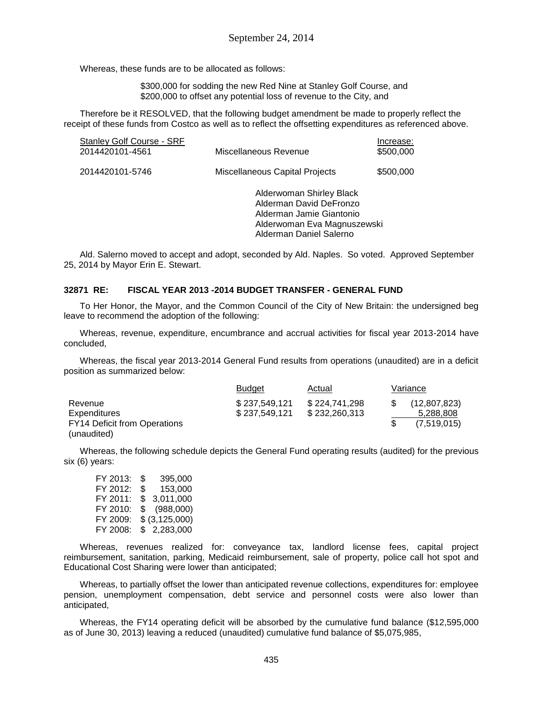Whereas, these funds are to be allocated as follows:

\$300,000 for sodding the new Red Nine at Stanley Golf Course, and \$200,000 to offset any potential loss of revenue to the City, and

Therefore be it RESOLVED, that the following budget amendment be made to properly reflect the receipt of these funds from Costco as well as to reflect the offsetting expenditures as referenced above.

| Stanley Golf Course - SRF<br>2014420101-4561 | Miscellaneous Revenue                                                                                                                     | Increase:<br>\$500,000 |
|----------------------------------------------|-------------------------------------------------------------------------------------------------------------------------------------------|------------------------|
| 2014420101-5746                              | Miscellaneous Capital Projects                                                                                                            | \$500,000              |
|                                              | Alderwoman Shirley Black<br>Alderman David DeFronzo<br>Alderman Jamie Giantonio<br>Alderwoman Eva Magnuszewski<br>Alderman Daniel Salerno |                        |

Ald. Salerno moved to accept and adopt, seconded by Ald. Naples. So voted. Approved September 25, 2014 by Mayor Erin E. Stewart.

### **32871 RE: FISCAL YEAR 2013 -2014 BUDGET TRANSFER - GENERAL FUND**

To Her Honor, the Mayor, and the Common Council of the City of New Britain: the undersigned beg leave to recommend the adoption of the following:

Whereas, revenue, expenditure, encumbrance and accrual activities for fiscal year 2013-2014 have concluded,

Whereas, the fiscal year 2013-2014 General Fund results from operations (unaudited) are in a deficit position as summarized below:

|                                     | <b>Budget</b> | Actual        | Variance     |
|-------------------------------------|---------------|---------------|--------------|
| Revenue                             | \$237,549,121 | \$224.741.298 | (12,807,823) |
| <b>Expenditures</b>                 | \$237,549,121 | \$232,260,313 | 5,288,808    |
| <b>FY14 Deficit from Operations</b> |               |               | (7,519,015)  |
| (unaudited)                         |               |               |              |

Whereas, the following schedule depicts the General Fund operating results (audited) for the previous six (6) years:

FY 2013: \$ 395,000 FY 2012: \$ 153,000 FY 2011: \$ 3,011,000 FY 2010: \$ (988,000) FY 2009: \$ (3,125,000) FY 2008: \$ 2,283,000

Whereas, revenues realized for: conveyance tax, landlord license fees, capital project reimbursement, sanitation, parking, Medicaid reimbursement, sale of property, police call hot spot and Educational Cost Sharing were lower than anticipated;

Whereas, to partially offset the lower than anticipated revenue collections, expenditures for: employee pension, unemployment compensation, debt service and personnel costs were also lower than anticipated,

Whereas, the FY14 operating deficit will be absorbed by the cumulative fund balance (\$12,595,000 as of June 30, 2013) leaving a reduced (unaudited) cumulative fund balance of \$5,075,985,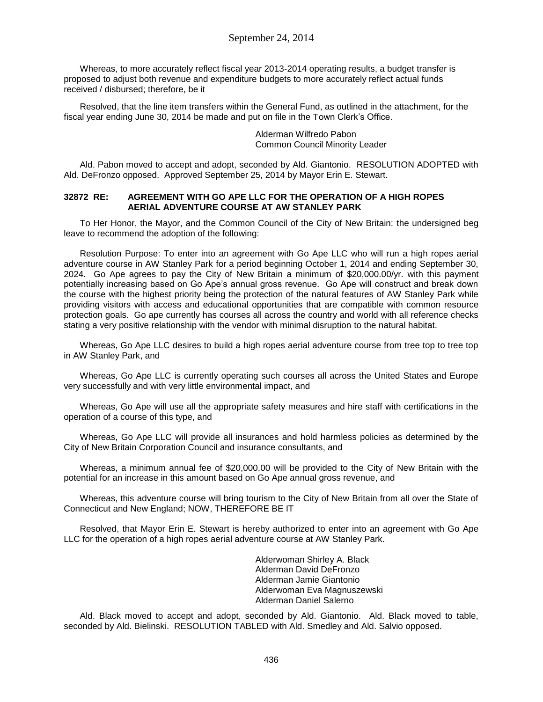Whereas, to more accurately reflect fiscal year 2013-2014 operating results, a budget transfer is proposed to adjust both revenue and expenditure budgets to more accurately reflect actual funds received / disbursed; therefore, be it

Resolved, that the line item transfers within the General Fund, as outlined in the attachment, for the fiscal year ending June 30, 2014 be made and put on file in the Town Clerk's Office.

> Alderman Wilfredo Pabon Common Council Minority Leader

Ald. Pabon moved to accept and adopt, seconded by Ald. Giantonio. RESOLUTION ADOPTED with Ald. DeFronzo opposed. Approved September 25, 2014 by Mayor Erin E. Stewart.

#### **32872 RE: AGREEMENT WITH GO APE LLC FOR THE OPERATION OF A HIGH ROPES AERIAL ADVENTURE COURSE AT AW STANLEY PARK**

To Her Honor, the Mayor, and the Common Council of the City of New Britain: the undersigned beg leave to recommend the adoption of the following:

Resolution Purpose: To enter into an agreement with Go Ape LLC who will run a high ropes aerial adventure course in AW Stanley Park for a period beginning October 1, 2014 and ending September 30, 2024. Go Ape agrees to pay the City of New Britain a minimum of \$20,000.00/yr. with this payment potentially increasing based on Go Ape's annual gross revenue. Go Ape will construct and break down the course with the highest priority being the protection of the natural features of AW Stanley Park while providing visitors with access and educational opportunities that are compatible with common resource protection goals. Go ape currently has courses all across the country and world with all reference checks stating a very positive relationship with the vendor with minimal disruption to the natural habitat.

Whereas, Go Ape LLC desires to build a high ropes aerial adventure course from tree top to tree top in AW Stanley Park, and

Whereas, Go Ape LLC is currently operating such courses all across the United States and Europe very successfully and with very little environmental impact, and

Whereas, Go Ape will use all the appropriate safety measures and hire staff with certifications in the operation of a course of this type, and

Whereas, Go Ape LLC will provide all insurances and hold harmless policies as determined by the City of New Britain Corporation Council and insurance consultants, and

Whereas, a minimum annual fee of \$20,000.00 will be provided to the City of New Britain with the potential for an increase in this amount based on Go Ape annual gross revenue, and

Whereas, this adventure course will bring tourism to the City of New Britain from all over the State of Connecticut and New England; NOW, THEREFORE BE IT

Resolved, that Mayor Erin E. Stewart is hereby authorized to enter into an agreement with Go Ape LLC for the operation of a high ropes aerial adventure course at AW Stanley Park.

> Alderwoman Shirley A. Black Alderman David DeFronzo Alderman Jamie Giantonio Alderwoman Eva Magnuszewski Alderman Daniel Salerno

Ald. Black moved to accept and adopt, seconded by Ald. Giantonio. Ald. Black moved to table, seconded by Ald. Bielinski. RESOLUTION TABLED with Ald. Smedley and Ald. Salvio opposed.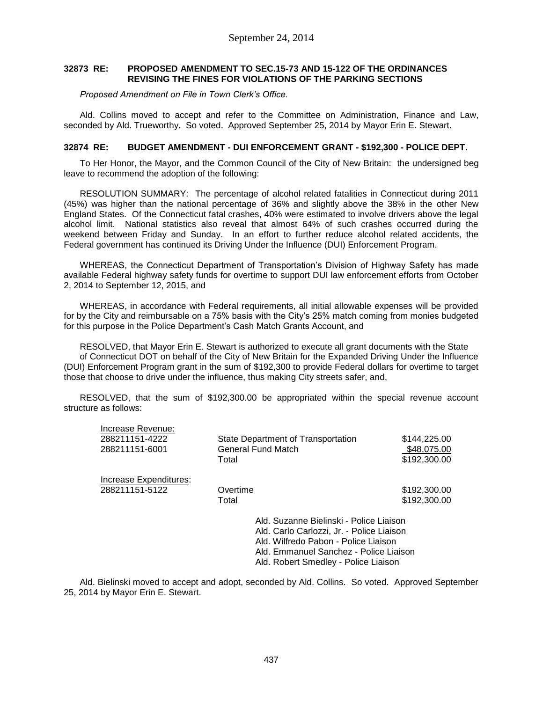#### **32873 RE: PROPOSED AMENDMENT TO SEC.15-73 AND 15-122 OF THE ORDINANCES REVISING THE FINES FOR VIOLATIONS OF THE PARKING SECTIONS**

*Proposed Amendment on File in Town Clerk's Office.*

Ald. Collins moved to accept and refer to the Committee on Administration, Finance and Law, seconded by Ald. Trueworthy. So voted. Approved September 25, 2014 by Mayor Erin E. Stewart.

#### **32874 RE: BUDGET AMENDMENT - DUI ENFORCEMENT GRANT - \$192,300 - POLICE DEPT.**

To Her Honor, the Mayor, and the Common Council of the City of New Britain: the undersigned beg leave to recommend the adoption of the following:

RESOLUTION SUMMARY: The percentage of alcohol related fatalities in Connecticut during 2011 (45%) was higher than the national percentage of 36% and slightly above the 38% in the other New England States. Of the Connecticut fatal crashes, 40% were estimated to involve drivers above the legal alcohol limit. National statistics also reveal that almost 64% of such crashes occurred during the weekend between Friday and Sunday. In an effort to further reduce alcohol related accidents, the Federal government has continued its Driving Under the Influence (DUI) Enforcement Program.

WHEREAS, the Connecticut Department of Transportation's Division of Highway Safety has made available Federal highway safety funds for overtime to support DUI law enforcement efforts from October 2, 2014 to September 12, 2015, and

WHEREAS, in accordance with Federal requirements, all initial allowable expenses will be provided for by the City and reimbursable on a 75% basis with the City's 25% match coming from monies budgeted for this purpose in the Police Department's Cash Match Grants Account, and

RESOLVED, that Mayor Erin E. Stewart is authorized to execute all grant documents with the State of Connecticut DOT on behalf of the City of New Britain for the Expanded Driving Under the Influence (DUI) Enforcement Program grant in the sum of \$192,300 to provide Federal dollars for overtime to target those that choose to drive under the influence, thus making City streets safer, and,

RESOLVED, that the sum of \$192,300.00 be appropriated within the special revenue account structure as follows:

| Increase Revenue:      | State Department of Transportation                                                                                                                                                                             | \$144,225.00 |
|------------------------|----------------------------------------------------------------------------------------------------------------------------------------------------------------------------------------------------------------|--------------|
| 288211151-4222         | General Fund Match                                                                                                                                                                                             | \$48.075.00  |
| 288211151-6001         | Total                                                                                                                                                                                                          | \$192,300.00 |
| Increase Expenditures: | Overtime                                                                                                                                                                                                       | \$192,300.00 |
| 288211151-5122         | Total                                                                                                                                                                                                          | \$192,300.00 |
|                        | Ald. Suzanne Bielinski - Police Liaison<br>Ald. Carlo Carlozzi, Jr. - Police Liaison<br>Ald. Wilfredo Pabon - Police Liaison<br>Ald. Emmanuel Sanchez - Police Liaison<br>Ald. Robert Smedley - Police Liaison |              |

Ald. Bielinski moved to accept and adopt, seconded by Ald. Collins. So voted. Approved September 25, 2014 by Mayor Erin E. Stewart.